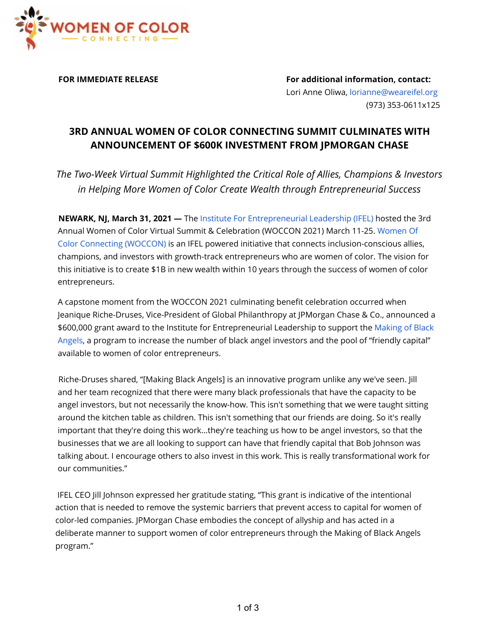

**FOR IMMEDIATE RELEASE For additional information, contact:** Lori Anne Oliwa, lorianne@weareifel.org (973) 353-0611x125

## **3RD ANNUAL WOMEN OF COLOR CONNECTING SUMMIT CULMINATES WITH ANNOUNCEMENT OF \$600K INVESTMENT FROM JPMORGAN CHASE**

*The Two-Week Virtual Summit Highlighted the Critical Role of Allies, Champions & Investors in Helping More Women of Color Create Wealth through Entrepreneurial Success*

**NEWARK, NJ, March 31, 2021 —** The Institute For Entrepreneurial Leadership (IFEL) hosted the 3rd Annual Women of Color Virtual Summit & Celebration (WOCCON 2021) March 11-25. Women Of Color Connecting (WOCCON) is an IFEL powered initiative that connects inclusion-conscious allies, champions, and investors with growth-track entrepreneurs who are women of color. The vision for this initiative is to create \$1B in new wealth within 10 years through the success of women of color entrepreneurs.

A capstone moment from the WOCCON 2021 culminating benefit celebration occurred when Jeanique Riche-Druses, Vice-President of Global Philanthropy at JPMorgan Chase & Co., announced a \$600,000 grant award to the Institute for Entrepreneurial Leadership to support the Making of Black Angels, a program to increase the number of black angel investors and the pool of "friendly capital" available to women of color entrepreneurs.

Riche-Druses shared, "[Making Black Angels] is an innovative program unlike any we've seen. Jill and her team recognized that there were many black professionals that have the capacity to be angel investors, but not necessarily the know-how. This isn't something that we were taught sitting around the kitchen table as children. This isn't something that our friends are doing. So it's really important that they're doing this work...they're teaching us how to be angel investors, so that the businesses that we are all looking to support can have that friendly capital that Bob Johnson was talking about. I encourage others to also invest in this work. This is really transformational work for our communities."

IFEL CEO Jill Johnson expressed her gratitude stating, "This grant is indicative of the intentional action that is needed to remove the systemic barriers that prevent access to capital for women of color-led companies. JPMorgan Chase embodies the concept of allyship and has acted in a deliberate manner to support women of color entrepreneurs through the Making of Black Angels program."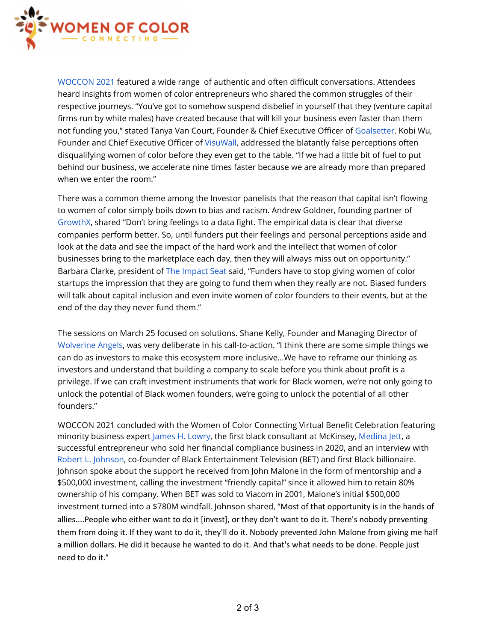

WOCCON 2021 featured a wide range of authentic and often difficult conversations. Attendees heard insights from women of color entrepreneurs who shared the common struggles of their respective journeys. "You've got to somehow suspend disbelief in yourself that they (venture capital firms run by white males) have created because that will kill your business even faster than them not funding you," stated Tanya Van Court, Founder & Chief Executive Officer of Goalsetter. Kobi Wu, Founder and Chief Executive Officer of VisuWall, addressed the blatantly false perceptions often disqualifying women of color before they even get to the table. "If we had a little bit of fuel to put behind our business, we accelerate nine times faster because we are already more than prepared when we enter the room."

There was a common theme among the Investor panelists that the reason that capital isn't flowing to women of color simply boils down to bias and racism. Andrew Goldner, founding partner of GrowthX, shared "Don't bring feelings to a data fight. The empirical data is clear that diverse companies perform better. So, until funders put their feelings and personal perceptions aside and look at the data and see the impact of the hard work and the intellect that women of color businesses bring to the marketplace each day, then they will always miss out on opportunity." Barbara Clarke, president of The Impact Seat said, "Funders have to stop giving women of color startups the impression that they are going to fund them when they really are not. Biased funders will talk about capital inclusion and even invite women of color founders to their events, but at the end of the day they never fund them."

The sessions on March 25 focused on solutions. Shane Kelly, Founder and Managing Director of Wolverine Angels, was very deliberate in his call-to-action. "I think there are some simple things we can do as investors to make this ecosystem more inclusive…We have to reframe our thinking as investors and understand that building a company to scale before you think about profit is a privilege. If we can craft investment instruments that work for Black women, we're not only going to unlock the potential of Black women founders, we're going to unlock the potential of all other founders."

WOCCON 2021 concluded with the Women of Color Connecting Virtual Benefit Celebration featuring minority business expert James H. Lowry, the first black consultant at McKinsey, Medina Jett, a successful entrepreneur who sold her financial compliance business in 2020, and an interview with Robert L. Johnson, co-founder of Black Entertainment Television (BET) and first Black billionaire. Johnson spoke about the support he received from John Malone in the form of mentorship and a \$500,000 investment, calling the investment "friendly capital" since it allowed him to retain 80% ownership of his company. When BET was sold to Viacom in 2001, Malone's initial \$500,000 investment turned into a \$780M windfall. Johnson shared, "Most of that opportunity is in the hands of allies....People who either want to do it [invest], or they don't want to do it. There's nobody preventing them from doing it. If they want to do it, they'll do it. Nobody prevented John Malone from giving me half a million dollars. He did it because he wanted to do it. And that's what needs to be done. People just need to do it."